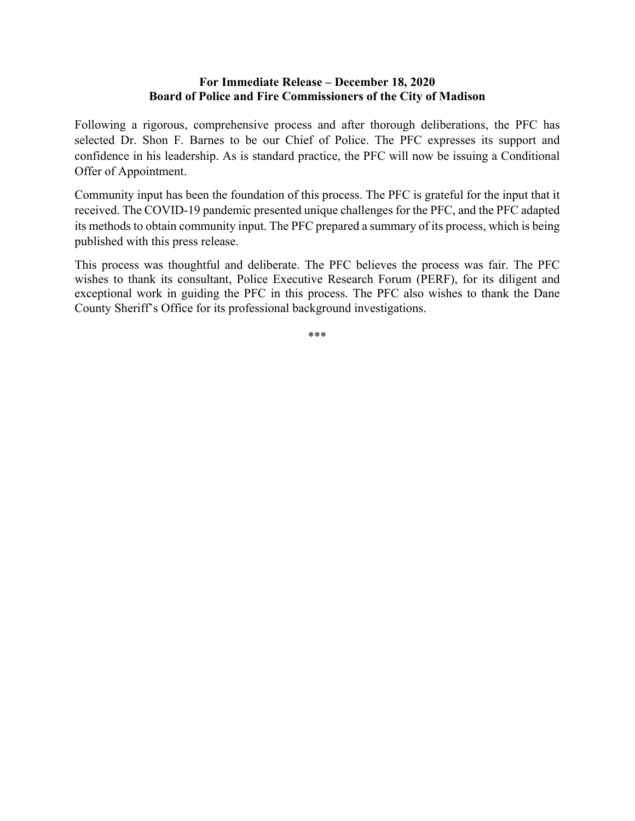## **For Immediate Release – December 18, 2020 Board of Police and Fire Commissioners of the City of Madison**

Following a rigorous, comprehensive process and after thorough deliberations, the PFC has selected Dr. Shon F. Barnes to be our Chief of Police. The PFC expresses its support and confidence in his leadership. As is standard practice, the PFC will now be issuing a Conditional Offer of Appointment.

Community input has been the foundation of this process. The PFC is grateful for the input that it received. The COVID-19 pandemic presented unique challenges for the PFC, and the PFC adapted its methods to obtain community input. The PFC prepared a summary of its process, which is being published with this press release.

This process was thoughtful and deliberate. The PFC believes the process was fair. The PFC wishes to thank its consultant, Police Executive Research Forum (PERF), for its diligent and exceptional work in guiding the PFC in this process. The PFC also wishes to thank the Dane County Sheriff's Office for its professional background investigations.

\*\*\*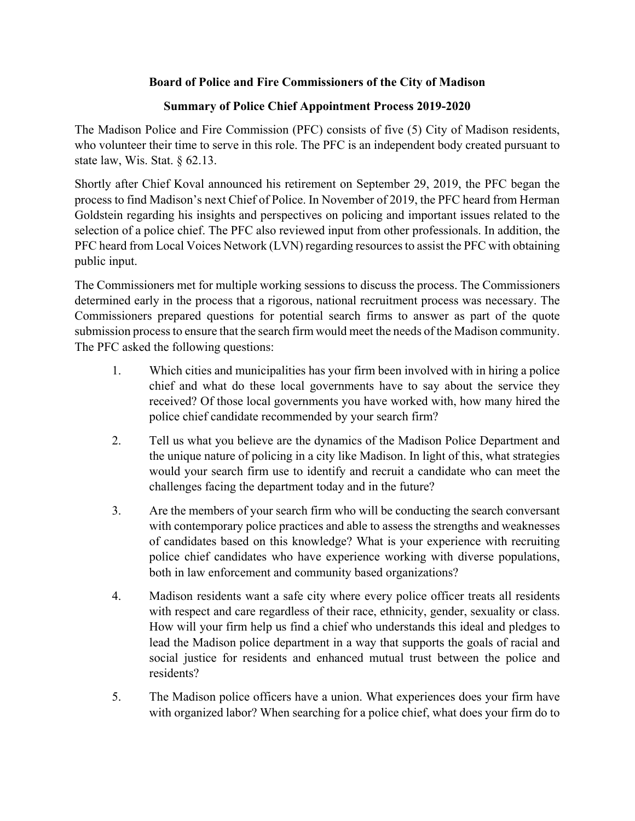## **Board of Police and Fire Commissioners of the City of Madison**

## **Summary of Police Chief Appointment Process 2019-2020**

The Madison Police and Fire Commission (PFC) consists of five (5) City of Madison residents, who volunteer their time to serve in this role. The PFC is an independent body created pursuant to state law, Wis. Stat. § 62.13.

Shortly after Chief Koval announced his retirement on September 29, 2019, the PFC began the process to find Madison's next Chief of Police. In November of 2019, the PFC heard from Herman Goldstein regarding his insights and perspectives on policing and important issues related to the selection of a police chief. The PFC also reviewed input from other professionals. In addition, the PFC heard from Local Voices Network (LVN) regarding resources to assist the PFC with obtaining public input.

The Commissioners met for multiple working sessions to discuss the process. The Commissioners determined early in the process that a rigorous, national recruitment process was necessary. The Commissioners prepared questions for potential search firms to answer as part of the quote submission process to ensure that the search firm would meet the needs of the Madison community. The PFC asked the following questions:

- 1. Which cities and municipalities has your firm been involved with in hiring a police chief and what do these local governments have to say about the service they received? Of those local governments you have worked with, how many hired the police chief candidate recommended by your search firm?
- 2. Tell us what you believe are the dynamics of the Madison Police Department and the unique nature of policing in a city like Madison. In light of this, what strategies would your search firm use to identify and recruit a candidate who can meet the challenges facing the department today and in the future?
- 3. Are the members of your search firm who will be conducting the search conversant with contemporary police practices and able to assess the strengths and weaknesses of candidates based on this knowledge? What is your experience with recruiting police chief candidates who have experience working with diverse populations, both in law enforcement and community based organizations?
- 4. Madison residents want a safe city where every police officer treats all residents with respect and care regardless of their race, ethnicity, gender, sexuality or class. How will your firm help us find a chief who understands this ideal and pledges to lead the Madison police department in a way that supports the goals of racial and social justice for residents and enhanced mutual trust between the police and residents?
- 5. The Madison police officers have a union. What experiences does your firm have with organized labor? When searching for a police chief, what does your firm do to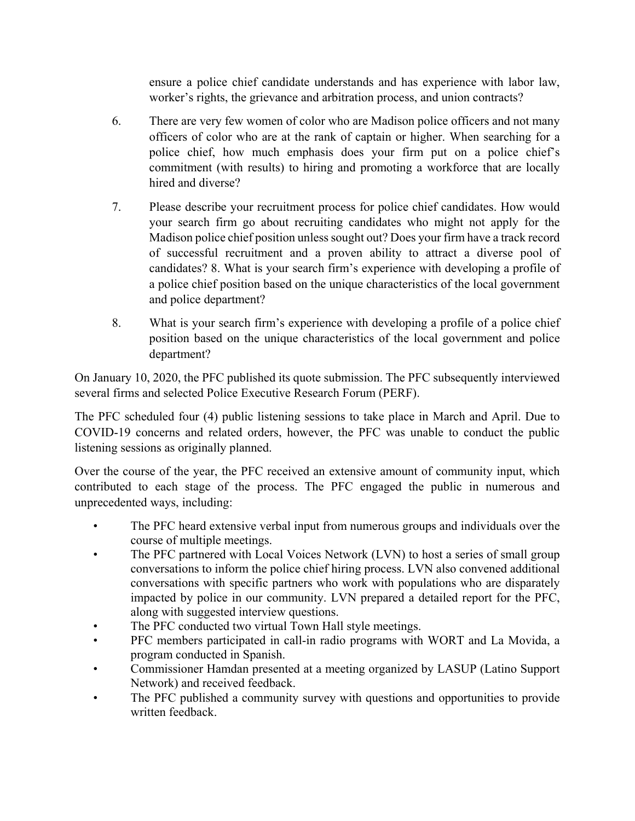ensure a police chief candidate understands and has experience with labor law, worker's rights, the grievance and arbitration process, and union contracts?

- 6. There are very few women of color who are Madison police officers and not many officers of color who are at the rank of captain or higher. When searching for a police chief, how much emphasis does your firm put on a police chief's commitment (with results) to hiring and promoting a workforce that are locally hired and diverse?
- 7. Please describe your recruitment process for police chief candidates. How would your search firm go about recruiting candidates who might not apply for the Madison police chief position unless sought out? Does your firm have a track record of successful recruitment and a proven ability to attract a diverse pool of candidates? 8. What is your search firm's experience with developing a profile of a police chief position based on the unique characteristics of the local government and police department?
- 8. What is your search firm's experience with developing a profile of a police chief position based on the unique characteristics of the local government and police department?

On January 10, 2020, the PFC published its quote submission. The PFC subsequently interviewed several firms and selected Police Executive Research Forum (PERF).

The PFC scheduled four (4) public listening sessions to take place in March and April. Due to COVID-19 concerns and related orders, however, the PFC was unable to conduct the public listening sessions as originally planned.

Over the course of the year, the PFC received an extensive amount of community input, which contributed to each stage of the process. The PFC engaged the public in numerous and unprecedented ways, including:

- The PFC heard extensive verbal input from numerous groups and individuals over the course of multiple meetings.
- The PFC partnered with Local Voices Network (LVN) to host a series of small group conversations to inform the police chief hiring process. LVN also convened additional conversations with specific partners who work with populations who are disparately impacted by police in our community. LVN prepared a detailed report for the PFC, along with suggested interview questions.
- The PFC conducted two virtual Town Hall style meetings.
- PFC members participated in call-in radio programs with WORT and La Movida, a program conducted in Spanish.
- Commissioner Hamdan presented at a meeting organized by LASUP (Latino Support Network) and received feedback.
- The PFC published a community survey with questions and opportunities to provide written feedback.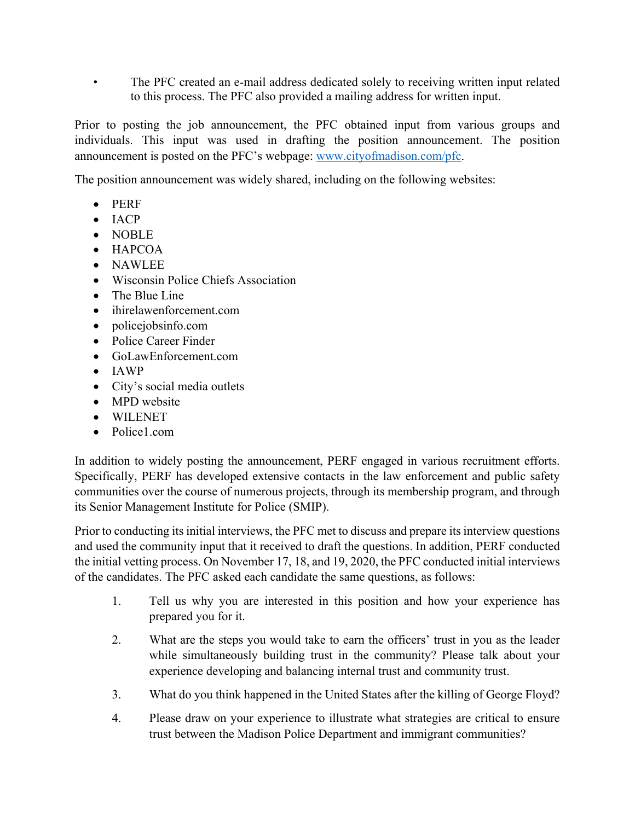• The PFC created an e-mail address dedicated solely to receiving written input related to this process. The PFC also provided a mailing address for written input.

Prior to posting the job announcement, the PFC obtained input from various groups and individuals. This input was used in drafting the position announcement. The position announcement is posted on the PFC's webpage: www.cityofmadison.com/pfc.

The position announcement was widely shared, including on the following websites:

- PERF
- $IACP$
- NOBLE
- $\bullet$  HAPCOA
- NAWLEE
- Wisconsin Police Chiefs Association
- The Blue Line
- ihirelawenforcement.com
- policejobsinfo.com
- Police Career Finder
- GoLawEnforcement.com
- IAWP
- City's social media outlets
- MPD website
- WILENET
- Police1.com

In addition to widely posting the announcement, PERF engaged in various recruitment efforts. Specifically, PERF has developed extensive contacts in the law enforcement and public safety communities over the course of numerous projects, through its membership program, and through its Senior Management Institute for Police (SMIP).

Prior to conducting its initial interviews, the PFC met to discuss and prepare its interview questions and used the community input that it received to draft the questions. In addition, PERF conducted the initial vetting process. On November 17, 18, and 19, 2020, the PFC conducted initial interviews of the candidates. The PFC asked each candidate the same questions, as follows:

- 1. Tell us why you are interested in this position and how your experience has prepared you for it.
- 2. What are the steps you would take to earn the officers' trust in you as the leader while simultaneously building trust in the community? Please talk about your experience developing and balancing internal trust and community trust.
- 3. What do you think happened in the United States after the killing of George Floyd?
- 4. Please draw on your experience to illustrate what strategies are critical to ensure trust between the Madison Police Department and immigrant communities?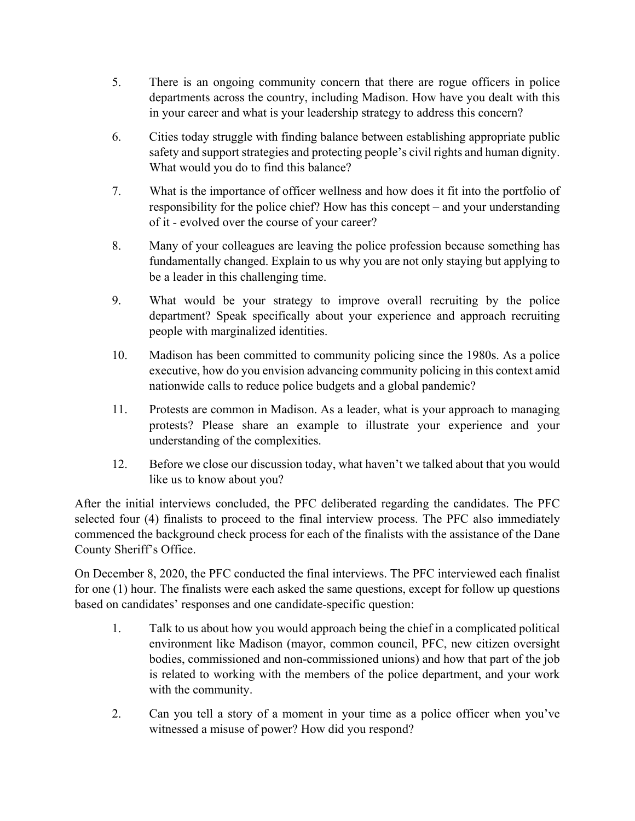- 5. There is an ongoing community concern that there are rogue officers in police departments across the country, including Madison. How have you dealt with this in your career and what is your leadership strategy to address this concern?
- 6. Cities today struggle with finding balance between establishing appropriate public safety and support strategies and protecting people's civil rights and human dignity. What would you do to find this balance?
- 7. What is the importance of officer wellness and how does it fit into the portfolio of responsibility for the police chief? How has this concept – and your understanding of it ‐ evolved over the course of your career?
- 8. Many of your colleagues are leaving the police profession because something has fundamentally changed. Explain to us why you are not only staying but applying to be a leader in this challenging time.
- 9. What would be your strategy to improve overall recruiting by the police department? Speak specifically about your experience and approach recruiting people with marginalized identities.
- 10. Madison has been committed to community policing since the 1980s. As a police executive, how do you envision advancing community policing in this context amid nationwide calls to reduce police budgets and a global pandemic?
- 11. Protests are common in Madison. As a leader, what is your approach to managing protests? Please share an example to illustrate your experience and your understanding of the complexities.
- 12. Before we close our discussion today, what haven't we talked about that you would like us to know about you?

After the initial interviews concluded, the PFC deliberated regarding the candidates. The PFC selected four (4) finalists to proceed to the final interview process. The PFC also immediately commenced the background check process for each of the finalists with the assistance of the Dane County Sheriff's Office.

On December 8, 2020, the PFC conducted the final interviews. The PFC interviewed each finalist for one (1) hour. The finalists were each asked the same questions, except for follow up questions based on candidates' responses and one candidate-specific question:

- 1. Talk to us about how you would approach being the chief in a complicated political environment like Madison (mayor, common council, PFC, new citizen oversight bodies, commissioned and non-commissioned unions) and how that part of the job is related to working with the members of the police department, and your work with the community.
- 2. Can you tell a story of a moment in your time as a police officer when you've witnessed a misuse of power? How did you respond?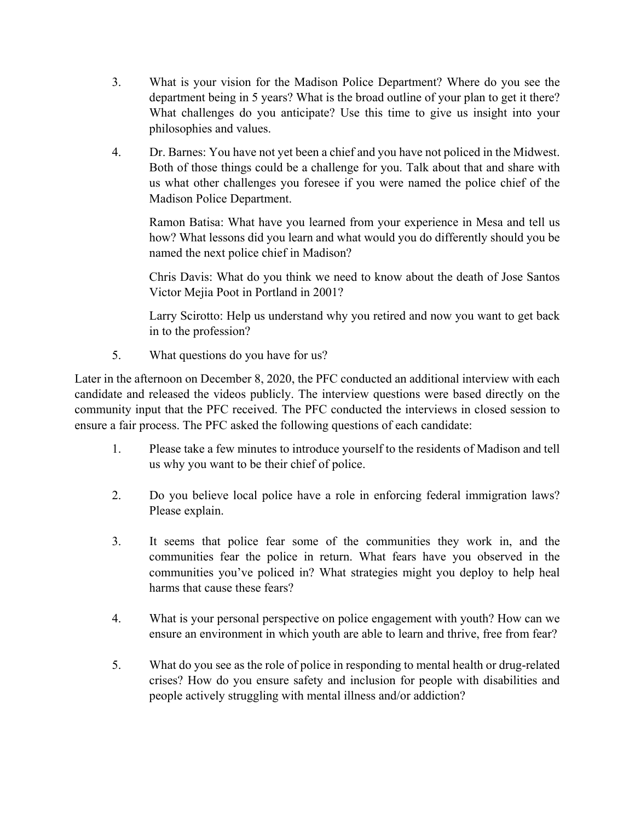- 3. What is your vision for the Madison Police Department? Where do you see the department being in 5 years? What is the broad outline of your plan to get it there? What challenges do you anticipate? Use this time to give us insight into your philosophies and values.
- 4. Dr. Barnes: You have not yet been a chief and you have not policed in the Midwest. Both of those things could be a challenge for you. Talk about that and share with us what other challenges you foresee if you were named the police chief of the Madison Police Department.

 Ramon Batisa: What have you learned from your experience in Mesa and tell us how? What lessons did you learn and what would you do differently should you be named the next police chief in Madison?

 Chris Davis: What do you think we need to know about the death of Jose Santos Victor Mejia Poot in Portland in 2001?

 Larry Scirotto: Help us understand why you retired and now you want to get back in to the profession?

5. What questions do you have for us?

Later in the afternoon on December 8, 2020, the PFC conducted an additional interview with each candidate and released the videos publicly. The interview questions were based directly on the community input that the PFC received. The PFC conducted the interviews in closed session to ensure a fair process. The PFC asked the following questions of each candidate:

- 1. Please take a few minutes to introduce yourself to the residents of Madison and tell us why you want to be their chief of police.
- 2. Do you believe local police have a role in enforcing federal immigration laws? Please explain.
- 3. It seems that police fear some of the communities they work in, and the communities fear the police in return. What fears have you observed in the communities you've policed in? What strategies might you deploy to help heal harms that cause these fears?
- 4. What is your personal perspective on police engagement with youth? How can we ensure an environment in which youth are able to learn and thrive, free from fear?
- 5. What do you see as the role of police in responding to mental health or drug-related crises? How do you ensure safety and inclusion for people with disabilities and people actively struggling with mental illness and/or addiction?